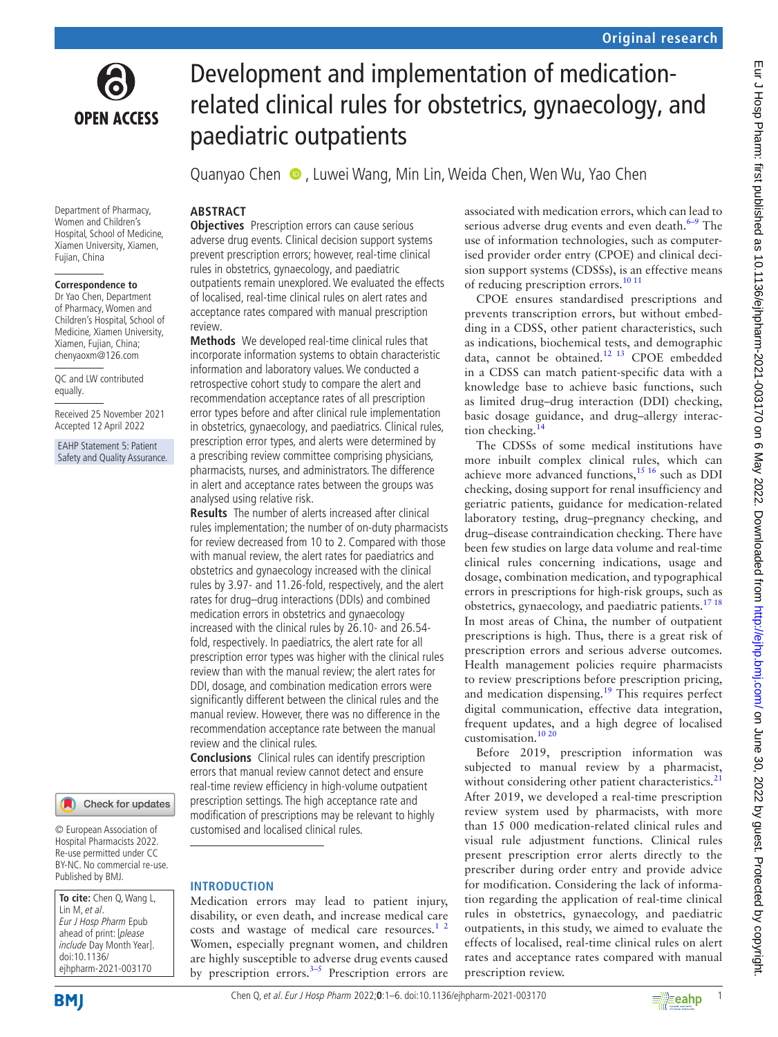

Department of Pharmacy, Women and Children's Hospital, School of Medicine, Xiamen University, Xiamen, Fujian, China

#### **Correspondence to**

Dr Yao Chen, Department of Pharmacy, Women and Children's Hospital, School of Medicine, Xiamen University, Xiamen, Fujian, China; chenyaoxm@126.com

QC and LW contributed equally.

Received 25 November 2021 Accepted 12 April 2022

EAHP Statement 5: Patient Safety and Quality Assurance.



© European Association of Hospital Pharmacists 2022. Re-use permitted under CC BY-NC. No commercial re-use. Published by BMJ.

**To cite:** Chen Q, Wang L, Lin M, et al. Eur J Hosp Pharm Epub ahead of print: [please include Day Month Year]. doi:10.1136/ ejhpharm-2021-003170

# Development and implementation of medicationrelated clinical rules for obstetrics, gynaecology, and paediatric outpatients

QuanyaoChen  $\bullet$ , Luwei Wang, Min Lin, Weida Chen, Wen Wu, Yao Chen

# **ABSTRACT**

**Objectives** Prescription errors can cause serious adverse drug events. Clinical decision support systems prevent prescription errors; however, real-time clinical rules in obstetrics, gynaecology, and paediatric outpatients remain unexplored. We evaluated the effects of localised, real-time clinical rules on alert rates and acceptance rates compared with manual prescription review.

**Methods** We developed real-time clinical rules that incorporate information systems to obtain characteristic information and laboratory values. We conducted a retrospective cohort study to compare the alert and recommendation acceptance rates of all prescription error types before and after clinical rule implementation in obstetrics, gynaecology, and paediatrics. Clinical rules, prescription error types, and alerts were determined by a prescribing review committee comprising physicians, pharmacists, nurses, and administrators. The difference in alert and acceptance rates between the groups was analysed using relative risk.

**Results** The number of alerts increased after clinical rules implementation; the number of on-duty pharmacists for review decreased from 10 to 2. Compared with those with manual review, the alert rates for paediatrics and obstetrics and gynaecology increased with the clinical rules by 3.97- and 11.26-fold, respectively, and the alert rates for drug–drug interactions (DDIs) and combined medication errors in obstetrics and gynaecology increased with the clinical rules by 26.10- and 26.54 fold, respectively. In paediatrics, the alert rate for all prescription error types was higher with the clinical rules review than with the manual review; the alert rates for DDI, dosage, and combination medication errors were significantly different between the clinical rules and the manual review. However, there was no difference in the recommendation acceptance rate between the manual review and the clinical rules.

**Conclusions** Clinical rules can identify prescription errors that manual review cannot detect and ensure real-time review efficiency in high-volume outpatient prescription settings. The high acceptance rate and modification of prescriptions may be relevant to highly customised and localised clinical rules.

# **INTRODUCTION**

Medication errors may lead to patient injury, disability, or even death, and increase medical care costs and wastage of medical care resources. $12$ Women, especially pregnant women, and children are highly susceptible to adverse drug events caused by prescription errors. $3-5$  Prescription errors are

associated with medication errors, which can lead to serious adverse drug events and even death. $6-9$  The use of information technologies, such as computerised provider order entry (CPOE) and clinical decision support systems (CDSSs), is an effective means of reducing prescription errors.<sup>[10 11](#page-5-0)</sup>

CPOE ensures standardised prescriptions and prevents transcription errors, but without embedding in a CDSS, other patient characteristics, such as indications, biochemical tests, and demographic data, cannot be obtained.[12 13](#page-5-1) CPOE embedded in a CDSS can match patient-specific data with a knowledge base to achieve basic functions, such as limited drug–drug interaction (DDI) checking, basic dosage guidance, and drug–allergy interac-tion checking.<sup>[14](#page-5-2)</sup>

The CDSSs of some medical institutions have more inbuilt complex clinical rules, which can achieve more advanced functions,<sup>15 16</sup> such as DDI checking, dosing support for renal insufficiency and geriatric patients, guidance for medication-related laboratory testing, drug–pregnancy checking, and drug–disease contraindication checking. There have been few studies on large data volume and real-time clinical rules concerning indications, usage and dosage, combination medication, and typographical errors in prescriptions for high-risk groups, such as obstetrics, gynaecology, and paediatric patients.<sup>17 18</sup> In most areas of China, the number of outpatient prescriptions is high. Thus, there is a great risk of prescription errors and serious adverse outcomes. Health management policies require pharmacists to review prescriptions before prescription pricing, and medication dispensing.<sup>19</sup> This requires perfect digital communication, effective data integration, frequent updates, and a high degree of localised customisation.[10 20](#page-5-0)

Before 2019, prescription information was subjected to manual review by a pharmacist, without considering other patient characteristics.<sup>[21](#page-5-6)</sup> After 2019, we developed a real-time prescription review system used by pharmacists, with more than 15 000 medication-related clinical rules and visual rule adjustment functions. Clinical rules present prescription error alerts directly to the prescriber during order entry and provide advice for modification. Considering the lack of information regarding the application of real-time clinical rules in obstetrics, gynaecology, and paediatric outpatients, in this study, we aimed to evaluate the effects of localised, real-time clinical rules on alert rates and acceptance rates compared with manual prescription review.

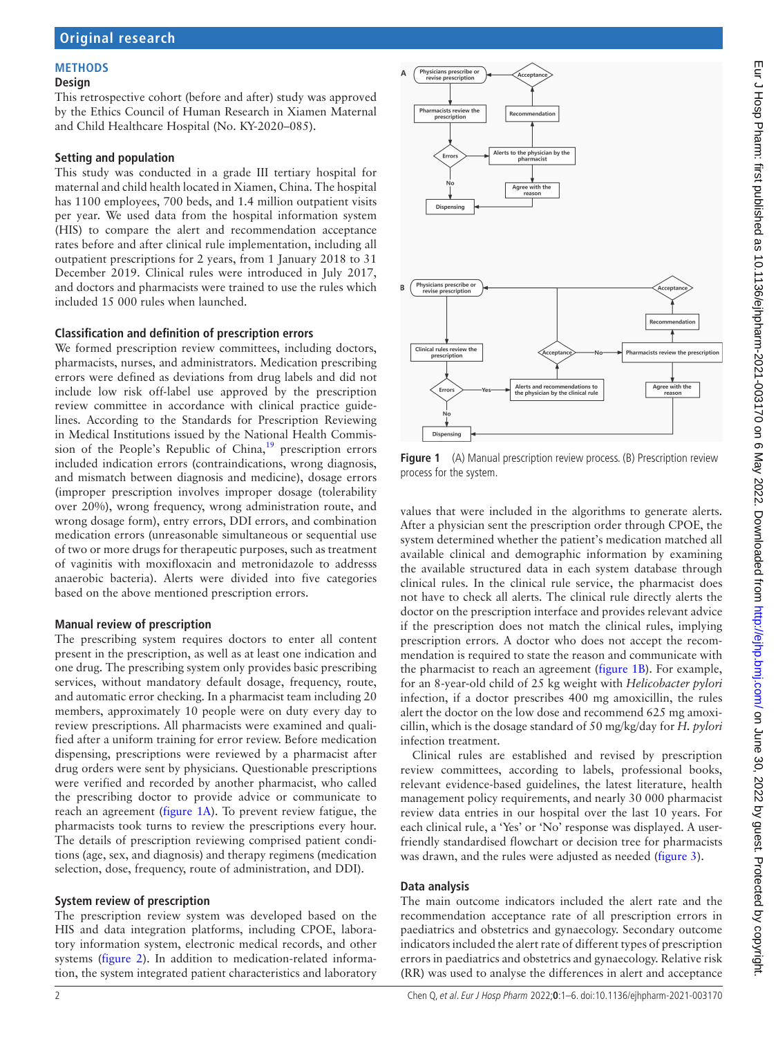## **METHODS**

#### **Design**

This retrospective cohort (before and after) study was approved by the Ethics Council of Human Research in Xiamen Maternal and Child Healthcare Hospital (No. KY-2020–085).

#### **Setting and population**

This study was conducted in a grade III tertiary hospital for maternal and child health located in Xiamen, China. The hospital has 1100 employees, 700 beds, and 1.4 million outpatient visits per year. We used data from the hospital information system (HIS) to compare the alert and recommendation acceptance rates before and after clinical rule implementation, including all outpatient prescriptions for 2 years, from 1 January 2018 to 31 December 2019. Clinical rules were introduced in July 2017, and doctors and pharmacists were trained to use the rules which included 15 000 rules when launched.

#### **Classification and definition of prescription errors**

We formed prescription review committees, including doctors, pharmacists, nurses, and administrators. Medication prescribing errors were defined as deviations from drug labels and did not include low risk off-label use approved by the prescription review committee in accordance with clinical practice guidelines. According to the Standards for Prescription Reviewing in Medical Institutions issued by the National Health Commis-sion of the People's Republic of China,<sup>[19](#page-5-5)</sup> prescription errors included indication errors (contraindications, wrong diagnosis, and mismatch between diagnosis and medicine), dosage errors (improper prescription involves improper dosage (tolerability over 20%), wrong frequency, wrong administration route, and wrong dosage form), entry errors, DDI errors, and combination medication errors (unreasonable simultaneous or sequential use of two or more drugs for therapeutic purposes, such as treatment of vaginitis with moxifloxacin and metronidazole to addresss anaerobic bacteria). Alerts were divided into five categories based on the above mentioned prescription errors.

#### **Manual review of prescription**

The prescribing system requires doctors to enter all content present in the prescription, as well as at least one indication and one drug. The prescribing system only provides basic prescribing services, without mandatory default dosage, frequency, route, and automatic error checking. In a pharmacist team including 20 members, approximately 10 people were on duty every day to review prescriptions. All pharmacists were examined and qualified after a uniform training for error review. Before medication dispensing, prescriptions were reviewed by a pharmacist after drug orders were sent by physicians. Questionable prescriptions were verified and recorded by another pharmacist, who called the prescribing doctor to provide advice or communicate to reach an agreement ([figure](#page-1-0) 1A). To prevent review fatigue, the pharmacists took turns to review the prescriptions every hour. The details of prescription reviewing comprised patient conditions (age, sex, and diagnosis) and therapy regimens (medication selection, dose, frequency, route of administration, and DDI).

#### **System review of prescription**

The prescription review system was developed based on the HIS and data integration platforms, including CPOE, laboratory information system, electronic medical records, and other systems ([figure](#page-2-0) 2). In addition to medication-related information, the system integrated patient characteristics and laboratory



<span id="page-1-0"></span>**Figure 1** (A) Manual prescription review process. (B) Prescription review process for the system.

values that were included in the algorithms to generate alerts. After a physician sent the prescription order through CPOE, the system determined whether the patient's medication matched all available clinical and demographic information by examining the available structured data in each system database through clinical rules. In the clinical rule service, the pharmacist does not have to check all alerts. The clinical rule directly alerts the doctor on the prescription interface and provides relevant advice if the prescription does not match the clinical rules, implying prescription errors. A doctor who does not accept the recommendation is required to state the reason and communicate with the pharmacist to reach an agreement [\(figure](#page-1-0) 1B). For example, for an 8-year-old child of 25 kg weight with *Helicobacter pylori* infection, if a doctor prescribes 400 mg amoxicillin, the rules alert the doctor on the low dose and recommend 625 mg amoxicillin, which is the dosage standard of 50 mg/kg/day for *H. pylori* infection treatment.

Clinical rules are established and revised by prescription review committees, according to labels, professional books, relevant evidence-based guidelines, the latest literature, health management policy requirements, and nearly 30 000 pharmacist review data entries in our hospital over the last 10 years. For each clinical rule, a 'Yes' or 'No' response was displayed. A userfriendly standardised flowchart or decision tree for pharmacists was drawn, and the rules were adjusted as needed ([figure](#page-2-1) 3).

#### **Data analysis**

The main outcome indicators included the alert rate and the recommendation acceptance rate of all prescription errors in paediatrics and obstetrics and gynaecology. Secondary outcome indicators included the alert rate of different types of prescription errors in paediatrics and obstetrics and gynaecology. Relative risk (RR) was used to analyse the differences in alert and acceptance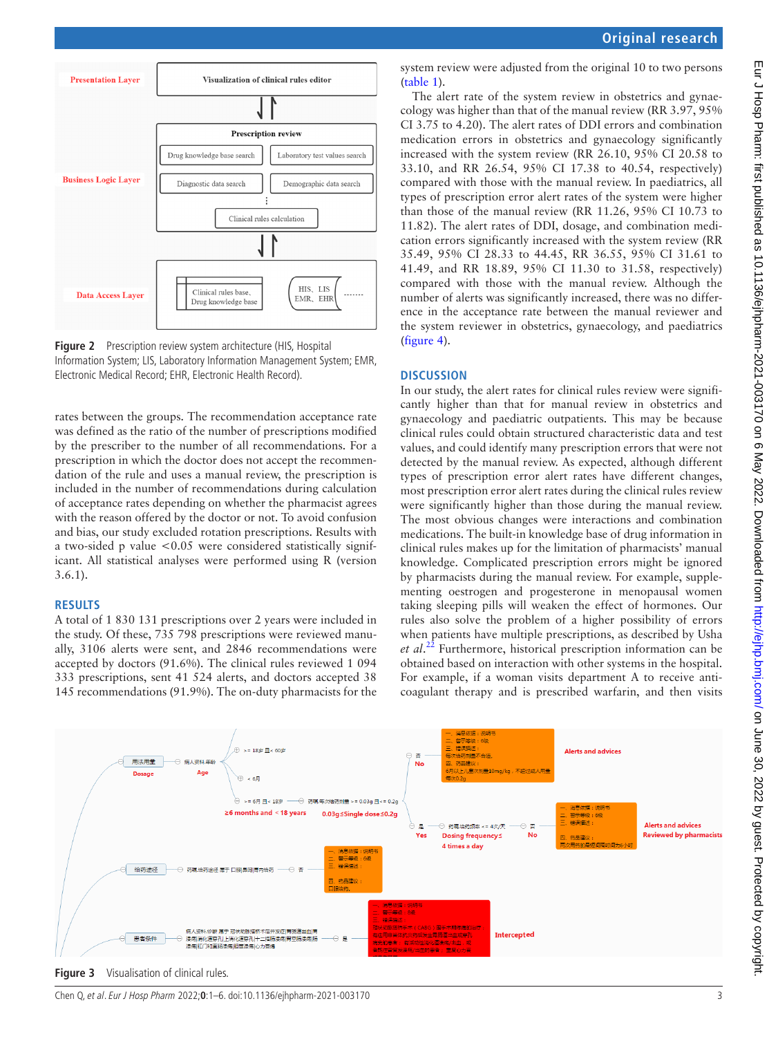



<span id="page-2-0"></span>![](_page_2_Figure_3.jpeg)

rates between the groups. The recommendation acceptance rate was defined as the ratio of the number of prescriptions modified by the prescriber to the number of all recommendations. For a prescription in which the doctor does not accept the recommendation of the rule and uses a manual review, the prescription is included in the number of recommendations during calculation of acceptance rates depending on whether the pharmacist agrees with the reason offered by the doctor or not. To avoid confusion and bias, our study excluded rotation prescriptions. Results with a two-sided p value <0.05 were considered statistically significant. All statistical analyses were performed using R (version 3.6.1).

#### **RESULTS**

A total of 1 830 131 prescriptions over 2 years were included in the study. Of these, 735 798 prescriptions were reviewed manually, 3106 alerts were sent, and 2846 recommendations were accepted by doctors (91.6%). The clinical rules reviewed 1 094 333 prescriptions, sent 41 524 alerts, and doctors accepted 38 145 recommendations (91.9%). The on-duty pharmacists for the

system review were adjusted from the original 10 to two persons ([table](#page-3-0) 1).

The alert rate of the system review in obstetrics and gynaecology was higher than that of the manual review (RR 3.97, 95% CI 3.75 to 4.20). The alert rates of DDI errors and combination medication errors in obstetrics and gynaecology significantly increased with the system review (RR 26.10, 95% CI 20.58 to 33.10, and RR 26.54, 95% CI 17.38 to 40.54, respectively) compared with those with the manual review. In paediatrics, all types of prescription error alert rates of the system were higher than those of the manual review (RR 11.26, 95% CI 10.73 to 11.82). The alert rates of DDI, dosage, and combination medication errors significantly increased with the system review (RR 35.49, 95% CI 28.33 to 44.45, RR 36.55, 95% CI 31.61 to 41.49, and RR 18.89, 95% CI 11.30 to 31.58, respectively) compared with those with the manual review. Although the number of alerts was significantly increased, there was no difference in the acceptance rate between the manual reviewer and the system reviewer in obstetrics, gynaecology, and paediatrics ([figure](#page-3-1) 4).

#### **DISCUSSION**

In our study, the alert rates for clinical rules review were significantly higher than that for manual review in obstetrics and gynaecology and paediatric outpatients. This may be because clinical rules could obtain structured characteristic data and test values, and could identify many prescription errors that were not detected by the manual review. As expected, although different types of prescription error alert rates have different changes, most prescription error alert rates during the clinical rules review were significantly higher than those during the manual review. The most obvious changes were interactions and combination medications. The built-in knowledge base of drug information in clinical rules makes up for the limitation of pharmacists' manual knowledge. Complicated prescription errors might be ignored by pharmacists during the manual review. For example, supplementing oestrogen and progesterone in menopausal women taking sleeping pills will weaken the effect of hormones. Our rules also solve the problem of a higher possibility of errors when patients have multiple prescriptions, as described by Usha *et al*. [22](#page-5-7) Furthermore, historical prescription information can be obtained based on interaction with other systems in the hospital. For example, if a woman visits department A to receive anticoagulant therapy and is prescribed warfarin, and then visits

![](_page_2_Figure_11.jpeg)

<span id="page-2-1"></span>Chen Q, et al. Eur J Hosp Pharm 2022;**0**:1–6. doi:10.1136/ejhpharm-2021-003170 3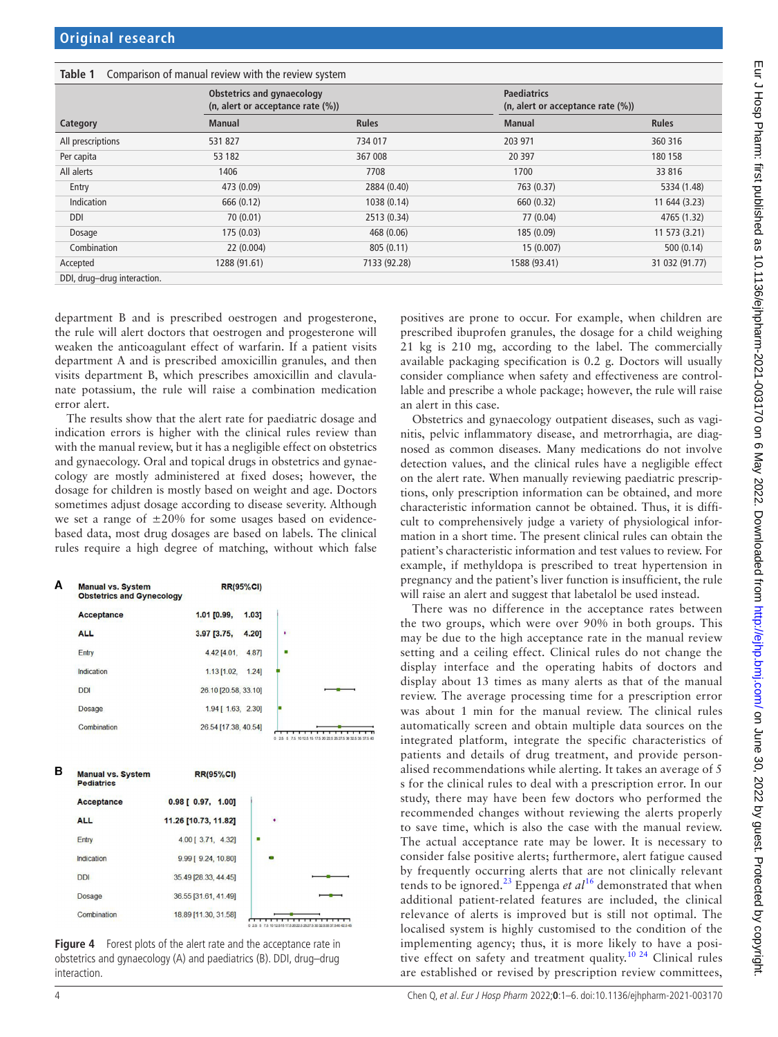<span id="page-3-0"></span>

| Comparison of manual review with the review system<br>Table 1 |                                                                 |              |                                                         |                |
|---------------------------------------------------------------|-----------------------------------------------------------------|--------------|---------------------------------------------------------|----------------|
|                                                               | Obstetrics and gynaecology<br>(n, alert or acceptance rate (%)) |              | <b>Paediatrics</b><br>(n, alert or acceptance rate (%)) |                |
| Category                                                      | <b>Manual</b>                                                   | <b>Rules</b> | <b>Manual</b>                                           | <b>Rules</b>   |
| All prescriptions                                             | 531 827                                                         | 734 017      | 203 971                                                 | 360 316        |
| Per capita                                                    | 53 182                                                          | 367 008      | 20 397                                                  | 180 158        |
| All alerts                                                    | 1406                                                            | 7708         | 1700                                                    | 33 816         |
| Entry                                                         | 473 (0.09)                                                      | 2884 (0.40)  | 763 (0.37)                                              | 5334 (1.48)    |
| Indication                                                    | 666 (0.12)                                                      | 1038 (0.14)  | 660 (0.32)                                              | 11 644 (3.23)  |
| <b>DDI</b>                                                    | 70 (0.01)                                                       | 2513 (0.34)  | 77 (0.04)                                               | 4765 (1.32)    |
| Dosage                                                        | 175(0.03)                                                       | 468 (0.06)   | 185 (0.09)                                              | 11 573 (3.21)  |
| Combination                                                   | 22 (0.004)                                                      | 805(0.11)    | 15(0.007)                                               | 500(0.14)      |
| Accepted                                                      | 1288 (91.61)                                                    | 7133 (92.28) | 1588 (93.41)                                            | 31 032 (91.77) |
| DDI, drug-drug interaction.                                   |                                                                 |              |                                                         |                |

department B and is prescribed oestrogen and progesterone, the rule will alert doctors that oestrogen and progesterone will weaken the anticoagulant effect of warfarin. If a patient visits department A and is prescribed amoxicillin granules, and then visits department B, which prescribes amoxicillin and clavulanate potassium, the rule will raise a combination medication error alert.

The results show that the alert rate for paediatric dosage and indication errors is higher with the clinical rules review than with the manual review, but it has a negligible effect on obstetrics and gynaecology. Oral and topical drugs in obstetrics and gynaecology are mostly administered at fixed doses; however, the dosage for children is mostly based on weight and age. Doctors sometimes adjust dosage according to disease severity. Although we set a range of  $\pm 20\%$  for some usages based on evidencebased data, most drug dosages are based on labels. The clinical rules require a high degree of matching, without which false

![](_page_3_Figure_5.jpeg)

<span id="page-3-1"></span>**Figure 4** Forest plots of the alert rate and the acceptance rate in obstetrics and gynaecology (A) and paediatrics (B). DDI, drug–drug interaction.

positives are prone to occur. For example, when children are prescribed ibuprofen granules, the dosage for a child weighing 21 kg is 210 mg, according to the label. The commercially available packaging specification is 0.2 g. Doctors will usually consider compliance when safety and effectiveness are controllable and prescribe a whole package; however, the rule will raise an alert in this case.

Obstetrics and gynaecology outpatient diseases, such as vaginitis, pelvic inflammatory disease, and metrorrhagia, are diagnosed as common diseases. Many medications do not involve detection values, and the clinical rules have a negligible effect on the alert rate. When manually reviewing paediatric prescriptions, only prescription information can be obtained, and more characteristic information cannot be obtained. Thus, it is difficult to comprehensively judge a variety of physiological information in a short time. The present clinical rules can obtain the patient's characteristic information and test values to review. For example, if methyldopa is prescribed to treat hypertension in pregnancy and the patient's liver function is insufficient, the rule will raise an alert and suggest that labetalol be used instead.

There was no difference in the acceptance rates between the two groups, which were over 90% in both groups. This may be due to the high acceptance rate in the manual review setting and a ceiling effect. Clinical rules do not change the display interface and the operating habits of doctors and display about 13 times as many alerts as that of the manual review. The average processing time for a prescription error was about 1 min for the manual review. The clinical rules automatically screen and obtain multiple data sources on the integrated platform, integrate the specific characteristics of patients and details of drug treatment, and provide personalised recommendations while alerting. It takes an average of 5 s for the clinical rules to deal with a prescription error. In our study, there may have been few doctors who performed the recommended changes without reviewing the alerts properly to save time, which is also the case with the manual review. The actual acceptance rate may be lower. It is necessary to consider false positive alerts; furthermore, alert fatigue caused by frequently occurring alerts that are not clinically relevant tends to be ignored.<sup>[23](#page-5-8)</sup> Eppenga *et al*<sup>16</sup> demonstrated that when additional patient-related features are included, the clinical relevance of alerts is improved but is still not optimal. The localised system is highly customised to the condition of the implementing agency; thus, it is more likely to have a posi-tive effect on safety and treatment quality.<sup>[10 24](#page-5-0)</sup> Clinical rules are established or revised by prescription review committees,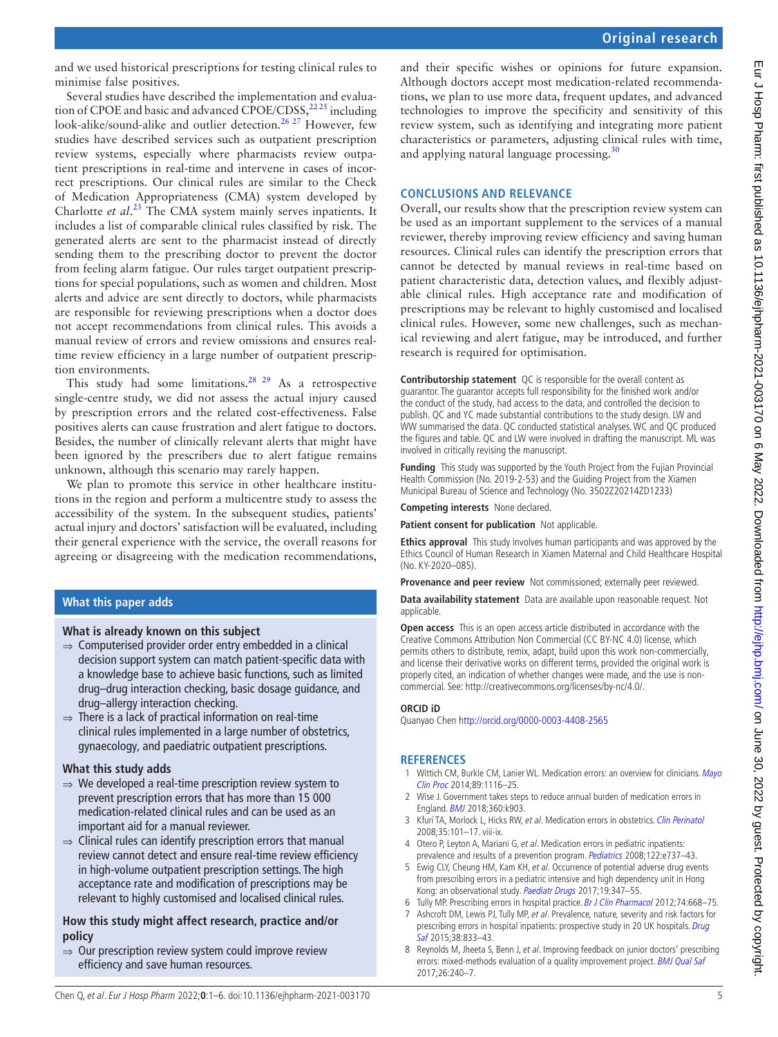and we used historical prescriptions for testing clinical rules to minimise false positives.

Several studies have described the implementation and evaluation of CPOE and basic and advanced CPOE/CDSS,<sup>2225</sup> including look-alike/sound-alike and outlier detection.<sup>[26 27](#page-5-10)</sup> However, few studies have described services such as outpatient prescription review systems, especially where pharmacists review outpatient prescriptions in real-time and intervene in cases of incorrect prescriptions. Our clinical rules are similar to the Check of Medication Appropriateness (CMA) system developed by Charlotte *et al*. [23](#page-5-8) The CMA system mainly serves inpatients. It includes a list of comparable clinical rules classified by risk. The generated alerts are sent to the pharmacist instead of directly sending them to the prescribing doctor to prevent the doctor from feeling alarm fatigue. Our rules target outpatient prescriptions for special populations, such as women and children. Most alerts and advice are sent directly to doctors, while pharmacists are responsible for reviewing prescriptions when a doctor does not accept recommendations from clinical rules. This avoids a manual review of errors and review omissions and ensures realtime review efficiency in a large number of outpatient prescription environments.

This study had some limitations.<sup>28 29</sup> As a retrospective single-centre study, we did not assess the actual injury caused by prescription errors and the related cost-effectiveness. False positives alerts can cause frustration and alert fatigue to doctors. Besides, the number of clinically relevant alerts that might have been ignored by the prescribers due to alert fatigue remains unknown, although this scenario may rarely happen.

We plan to promote this service in other healthcare institutions in the region and perform a multicentre study to assess the accessibility of the system. In the subsequent studies, patients' actual injury and doctors' satisfaction will be evaluated, including their general experience with the service, the overall reasons for agreeing or disagreeing with the medication recommendations,

### **What this paper adds**

#### **What is already known on this subject**

- $\Rightarrow$  Computerised provider order entry embedded in a clinical decision support system can match patient-specific data with a knowledge base to achieve basic functions, such as limited drug–drug interaction checking, basic dosage guidance, and drug–allergy interaction checking.
- $\Rightarrow$  There is a lack of practical information on real-time clinical rules implemented in a large number of obstetrics, gynaecology, and paediatric outpatient prescriptions.

#### **What this study adds**

- $\Rightarrow$  We developed a real-time prescription review system to prevent prescription errors that has more than 15 000 medication-related clinical rules and can be used as an important aid for a manual reviewer.
- $\Rightarrow$  Clinical rules can identify prescription errors that manual review cannot detect and ensure real-time review efficiency in high-volume outpatient prescription settings. The high acceptance rate and modification of prescriptions may be relevant to highly customised and localised clinical rules.

#### **How this study might affect research, practice and/or policy**

 $\Rightarrow$  Our prescription review system could improve review efficiency and save human resources.

and their specific wishes or opinions for future expansion. Although doctors accept most medication-related recommendations, we plan to use more data, frequent updates, and advanced technologies to improve the specificity and sensitivity of this review system, such as identifying and integrating more patient characteristics or parameters, adjusting clinical rules with time, and applying natural language processing. $30$ 

#### **CONCLUSIONS AND RELEVANCE**

Overall, our results show that the prescription review system can be used as an important supplement to the services of a manual reviewer, thereby improving review efficiency and saving human resources. Clinical rules can identify the prescription errors that cannot be detected by manual reviews in real-time based on patient characteristic data, detection values, and flexibly adjustable clinical rules. High acceptance rate and modification of prescriptions may be relevant to highly customised and localised clinical rules. However, some new challenges, such as mechanical reviewing and alert fatigue, may be introduced, and further research is required for optimisation.

**Contributorship statement** QC is responsible for the overall content as guarantor. The guarantor accepts full responsibility for the finished work and/or the conduct of the study, had access to the data, and controlled the decision to publish. QC and YC made substantial contributions to the study design. LW and WW summarised the data. QC conducted statistical analyses. WC and QC produced the figures and table. QC and LW were involved in drafting the manuscript. ML was involved in critically revising the manuscript.

**Funding** This study was supported by the Youth Project from the Fujian Provincial Health Commission (No. 2019-2-53) and the Guiding Project from the Xiamen Municipal Bureau of Science and Technology (No. 3502Z20214ZD1233)

**Competing interests** None declared.

**Patient consent for publication** Not applicable.

**Ethics approval** This study involves human participants and was approved by the Ethics Council of Human Research in Xiamen Maternal and Child Healthcare Hospital (No. KY-2020–085).

**Provenance and peer review** Not commissioned; externally peer reviewed.

**Data availability statement** Data are available upon reasonable request. Not applicable.

**Open access** This is an open access article distributed in accordance with the Creative Commons Attribution Non Commercial (CC BY-NC 4.0) license, which permits others to distribute, remix, adapt, build upon this work non-commercially, and license their derivative works on different terms, provided the original work is properly cited, an indication of whether changes were made, and the use is noncommercial. See:<http://creativecommons.org/licenses/by-nc/4.0/>.

#### **ORCID iD**

Quanyao Chen<http://orcid.org/0000-0003-4408-2565>

#### **REFERENCES**

- <span id="page-4-0"></span>1 Wittich CM, Burkle CM, Lanier WL. Medication errors: an overview for clinicians. [Mayo](http://dx.doi.org/10.1016/j.mayocp.2014.05.007) [Clin Proc](http://dx.doi.org/10.1016/j.mayocp.2014.05.007) 2014;89:1116–25.
- 2 Wise J. Government takes steps to reduce annual burden of medication errors in England. [BMJ](http://dx.doi.org/10.1136/bmj.k903) 2018;360:k903.
- <span id="page-4-1"></span>3 Kfuri TA, Morlock L, Hicks RW, et al. Medication errors in obstetrics. [Clin Perinatol](http://dx.doi.org/10.1016/j.clp.2007.11.015) 2008;35:101–17. viii-ix.
- 4 Otero P, Leyton A, Mariani G, et al. Medication errors in pediatric inpatients: prevalence and results of a prevention program. [Pediatrics](http://dx.doi.org/10.1542/peds.2008-0014) 2008;122:e737-43.
- 5 Ewig CLY, Cheung HM, Kam KH, et al. Occurrence of potential adverse drug events from prescribing errors in a pediatric intensive and high dependency unit in Hong Kong: an observational study. [Paediatr Drugs](http://dx.doi.org/10.1007/s40272-017-0222-8) 2017;19:347-55.
- <span id="page-4-2"></span>6 Tully MP. Prescribing errors in hospital practice. [Br J Clin Pharmacol](http://dx.doi.org/10.1111/j.1365-2125.2012.04313.x) 2012;74:668–75.
- 7 Ashcroft DM, Lewis PJ, Tully MP, et al. Prevalence, nature, severity and risk factors for prescribing errors in hospital inpatients: prospective study in 20 UK hospitals. Drug [Saf](http://dx.doi.org/10.1007/s40264-015-0320-x) 2015;38:833–43.
- 8 Reynolds M, Jheeta S, Benn J, et al. Improving feedback on junior doctors' prescribing errors: mixed-methods evaluation of a quality improvement project. [BMJ Qual Saf](http://dx.doi.org/10.1136/bmjqs-2015-004717) 2017;26:240–7.